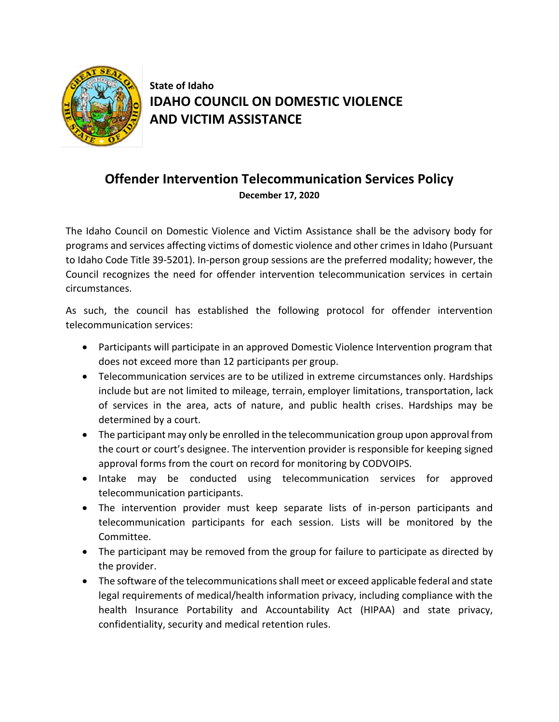

**State of Idaho IDAHO COUNCIL ON DOMESTIC VIOLENCE AND VICTIM ASSISTANCE**

## **Offender Intervention Telecommunication Services Policy December 17, 2020**

The Idaho Council on Domestic Violence and Victim Assistance shall be the advisory body for programs and services affecting victims of domestic violence and other crimes in Idaho (Pursuant to Idaho Code Title 39-5201). In-person group sessions are the preferred modality; however, the Council recognizes the need for offender intervention telecommunication services in certain circumstances.

As such, the council has established the following protocol for offender intervention telecommunication services:

- Participants will participate in an approved Domestic Violence Intervention program that does not exceed more than 12 participants per group.
- Telecommunication services are to be utilized in extreme circumstances only. Hardships include but are not limited to mileage, terrain, employer limitations, transportation, lack of services in the area, acts of nature, and public health crises. Hardships may be determined by a court.
- The participant may only be enrolled in the telecommunication group upon approval from the court or court's designee. The intervention provider is responsible for keeping signed approval forms from the court on record for monitoring by CODVOIPS.
- Intake may be conducted using telecommunication services for approved telecommunication participants.
- The intervention provider must keep separate lists of in-person participants and telecommunication participants for each session. Lists will be monitored by the Committee.
- The participant may be removed from the group for failure to participate as directed by the provider.
- The software of the telecommunications shall meet or exceed applicable federal and state legal requirements of medical/health information privacy, including compliance with the health Insurance Portability and Accountability Act (HIPAA) and state privacy, confidentiality, security and medical retention rules.